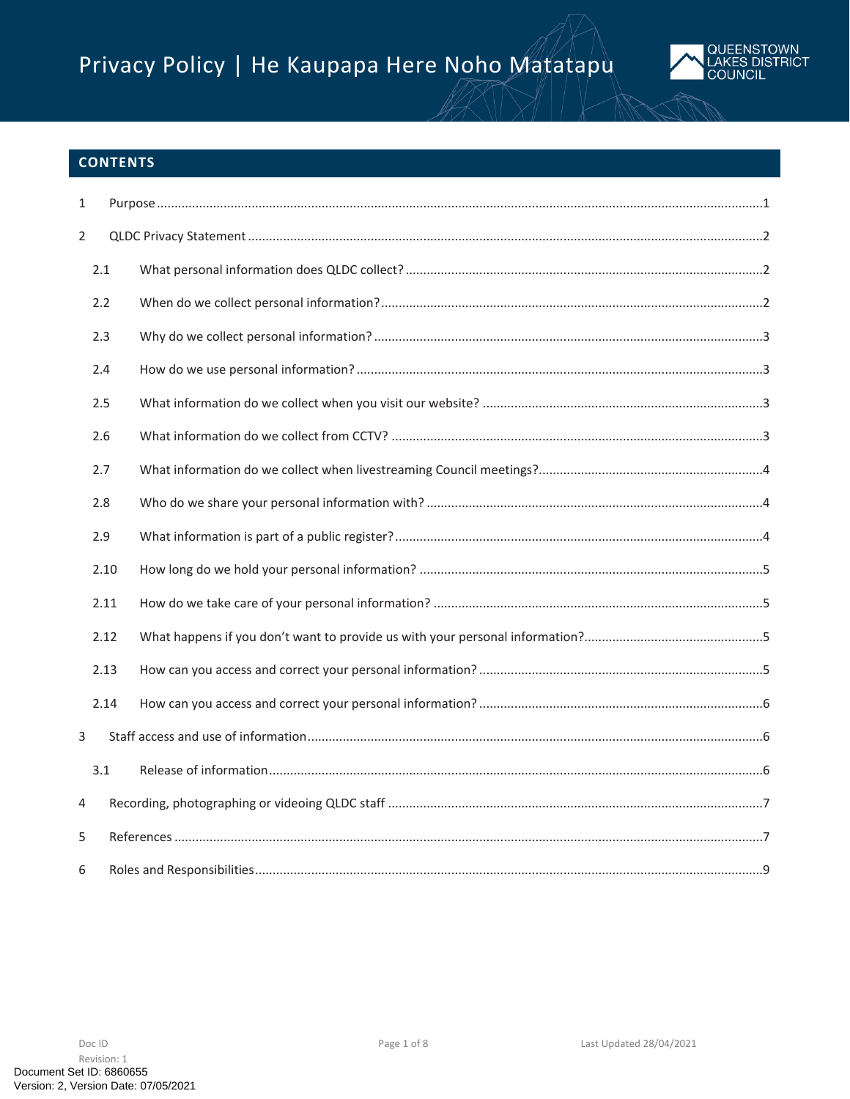# Privacy Policy | He Kaupapa Here Noho Matatapu



# **CONTENTS**

| $\mathbf{1}$   |      |  |  |  |  |  |
|----------------|------|--|--|--|--|--|
| $\overline{2}$ |      |  |  |  |  |  |
|                | 2.1  |  |  |  |  |  |
|                | 2.2  |  |  |  |  |  |
|                | 2.3  |  |  |  |  |  |
|                | 2.4  |  |  |  |  |  |
|                | 2.5  |  |  |  |  |  |
|                | 2.6  |  |  |  |  |  |
|                | 2.7  |  |  |  |  |  |
|                | 2.8  |  |  |  |  |  |
|                | 2.9  |  |  |  |  |  |
|                | 2.10 |  |  |  |  |  |
|                | 2.11 |  |  |  |  |  |
|                | 2.12 |  |  |  |  |  |
|                | 2.13 |  |  |  |  |  |
|                | 2.14 |  |  |  |  |  |
| 3              |      |  |  |  |  |  |
|                | 3.1  |  |  |  |  |  |
| 4              |      |  |  |  |  |  |
| 5              |      |  |  |  |  |  |
| 6              |      |  |  |  |  |  |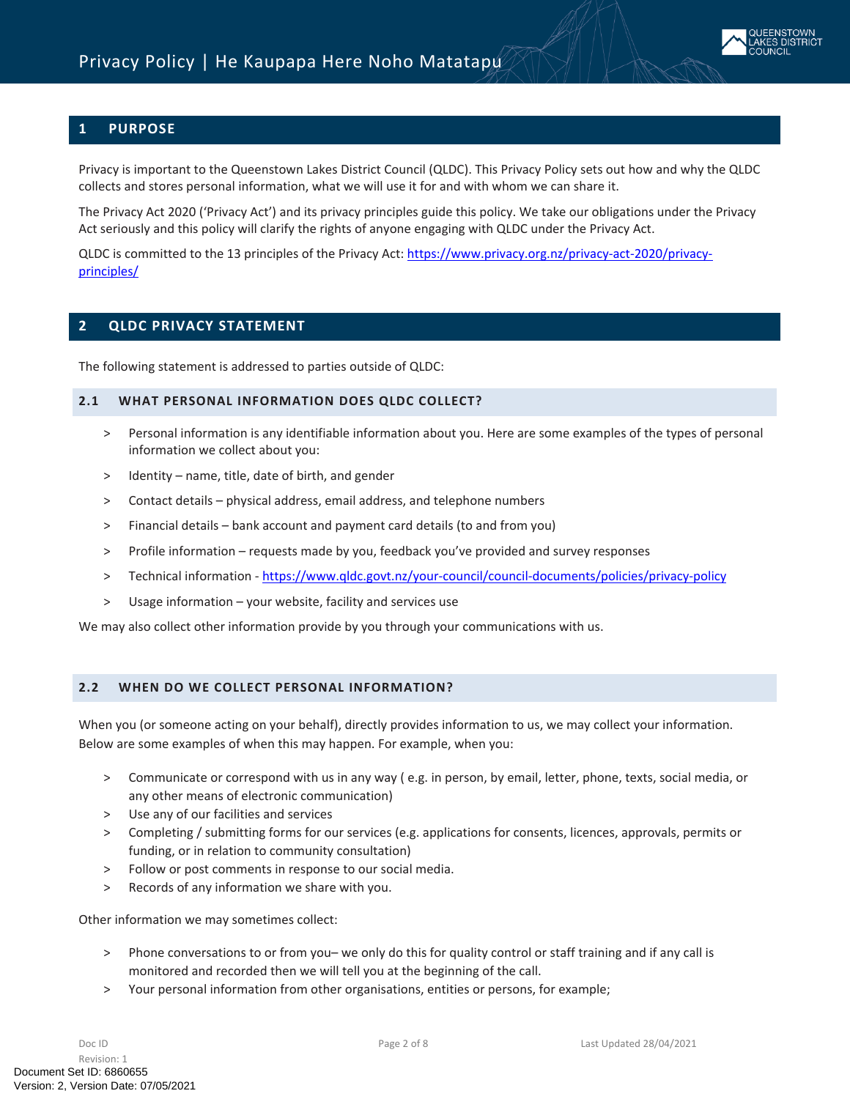

# <span id="page-1-0"></span>**1 PURPOSE**

Privacy is important to the Queenstown Lakes District Council (QLDC). This Privacy Policy sets out how and why the QLDC collects and stores personal information, what we will use it for and with whom we can share it.

The Privacy Act 2020 ('Privacy Act') and its privacy principles guide this policy. We take our obligations under the Privacy Act seriously and this policy will clarify the rights of anyone engaging with QLDC under the Privacy Act.

<span id="page-1-1"></span>QLDC is committed to the 13 principles of the Privacy Act: [https://www.privacy.org.nz/privacy-act-2020/privacy](https://www.privacy.org.nz/privacy-act-2020/privacy-principles/)[principles/](https://www.privacy.org.nz/privacy-act-2020/privacy-principles/)

#### **2 QLDC PRIVACY STATEMENT**

<span id="page-1-2"></span>The following statement is addressed to parties outside of QLDC:

#### **2.1 WHAT PERSONAL INFORMATION DOES QLDC COLLECT?**

- > Personal information is any identifiable information about you. Here are some examples of the types of personal information we collect about you:
- > Identity name, title, date of birth, and gender
- > Contact details physical address, email address, and telephone numbers
- > Financial details bank account and payment card details (to and from you)
- > Profile information requests made by you, feedback you've provided and survey responses
- > Technical information -<https://www.qldc.govt.nz/your-council/council-documents/policies/privacy-policy>
- > Usage information your website, facility and services use

We may also collect other information provide by you through your communications with us.

## <span id="page-1-3"></span>**2.2 WHEN DO WE COLLECT PERSONAL INFORMATION?**

When you (or someone acting on your behalf), directly provides information to us, we may collect your information. Below are some examples of when this may happen. For example, when you:

- > Communicate or correspond with us in any way ( e.g. in person, by email, letter, phone, texts, social media, or any other means of electronic communication)
- > Use any of our facilities and services
- > Completing / submitting forms for our services (e.g. applications for consents, licences, approvals, permits or funding, or in relation to community consultation)
- > Follow or post comments in response to our social media.
- > Records of any information we share with you.

Other information we may sometimes collect:

- > Phone conversations to or from you– we only do this for quality control or staff training and if any call is monitored and recorded then we will tell you at the beginning of the call.
- > Your personal information from other organisations, entities or persons, for example;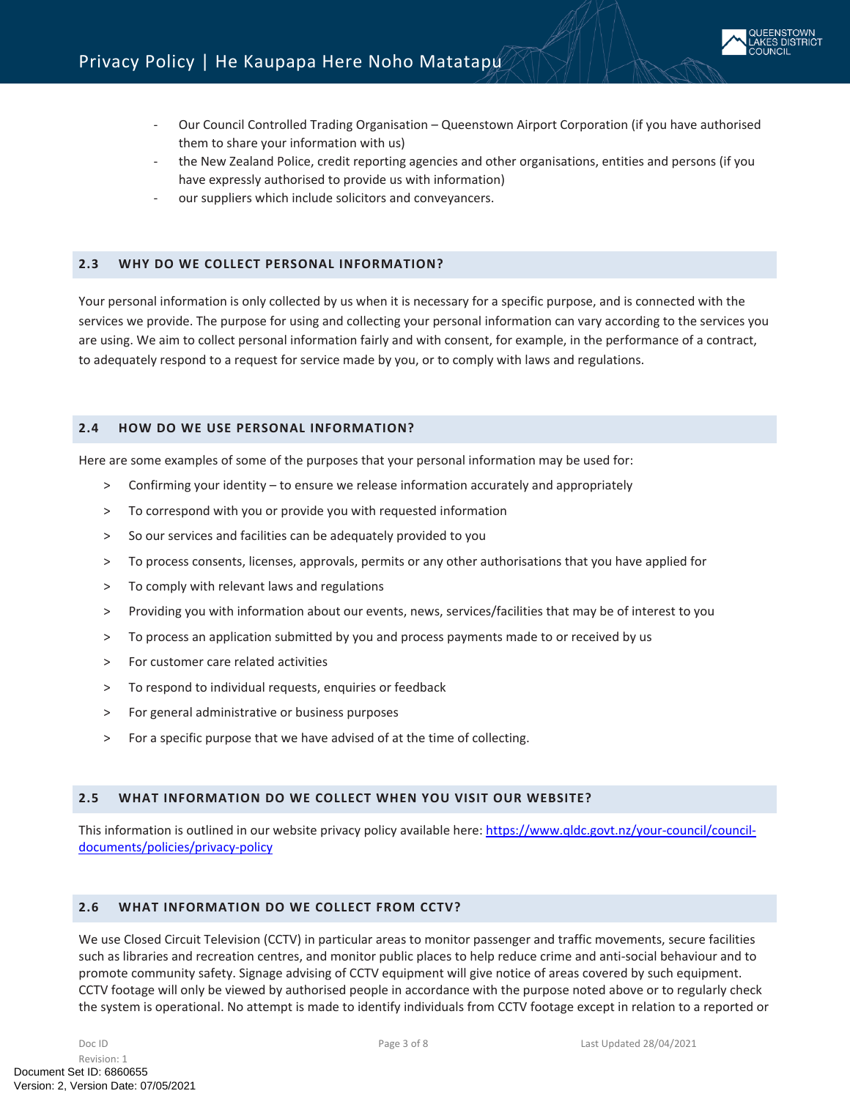

- Our Council Controlled Trading Organisation Queenstown Airport Corporation (if you have authorised them to share your information with us)
- the New Zealand Police, credit reporting agencies and other organisations, entities and persons (if you have expressly authorised to provide us with information)
- our suppliers which include solicitors and conveyancers.

#### <span id="page-2-0"></span>**2.3 WHY DO WE COLLECT PERSONAL INFORMATION?**

Your personal information is only collected by us when it is necessary for a specific purpose, and is connected with the services we provide. The purpose for using and collecting your personal information can vary according to the services you are using. We aim to collect personal information fairly and with consent, for example, in the performance of a contract, to adequately respond to a request for service made by you, or to comply with laws and regulations.

#### <span id="page-2-1"></span>**2.4 HOW DO WE USE PERSONAL INFORMATION?**

Here are some examples of some of the purposes that your personal information may be used for:

- > Confirming your identity to ensure we release information accurately and appropriately
- > To correspond with you or provide you with requested information
- > So our services and facilities can be adequately provided to you
- > To process consents, licenses, approvals, permits or any other authorisations that you have applied for
- > To comply with relevant laws and regulations
- > Providing you with information about our events, news, services/facilities that may be of interest to you
- > To process an application submitted by you and process payments made to or received by us
- > For customer care related activities
- > To respond to individual requests, enquiries or feedback
- > For general administrative or business purposes
- > For a specific purpose that we have advised of at the time of collecting.

#### <span id="page-2-2"></span>**2.5 WHAT INFORMATION DO WE COLLECT WHEN YOU VISIT OUR WEBSITE?**

This information is outlined in our website privacy policy available here: [https://www.qldc.govt.nz/your-council/council](https://www.qldc.govt.nz/your-council/council-documents/policies/privacy-policy)[documents/policies/privacy-policy](https://www.qldc.govt.nz/your-council/council-documents/policies/privacy-policy)

#### <span id="page-2-3"></span>**2.6 WHAT INFORMATION DO WE COLLECT FROM CCTV?**

We use Closed Circuit Television (CCTV) in particular areas to monitor passenger and traffic movements, secure facilities such as libraries and recreation centres, and monitor public places to help reduce crime and anti-social behaviour and to promote community safety. Signage advising of CCTV equipment will give notice of areas covered by such equipment. CCTV footage will only be viewed by authorised people in accordance with the purpose noted above or to regularly check the system is operational. No attempt is made to identify individuals from CCTV footage except in relation to a reported or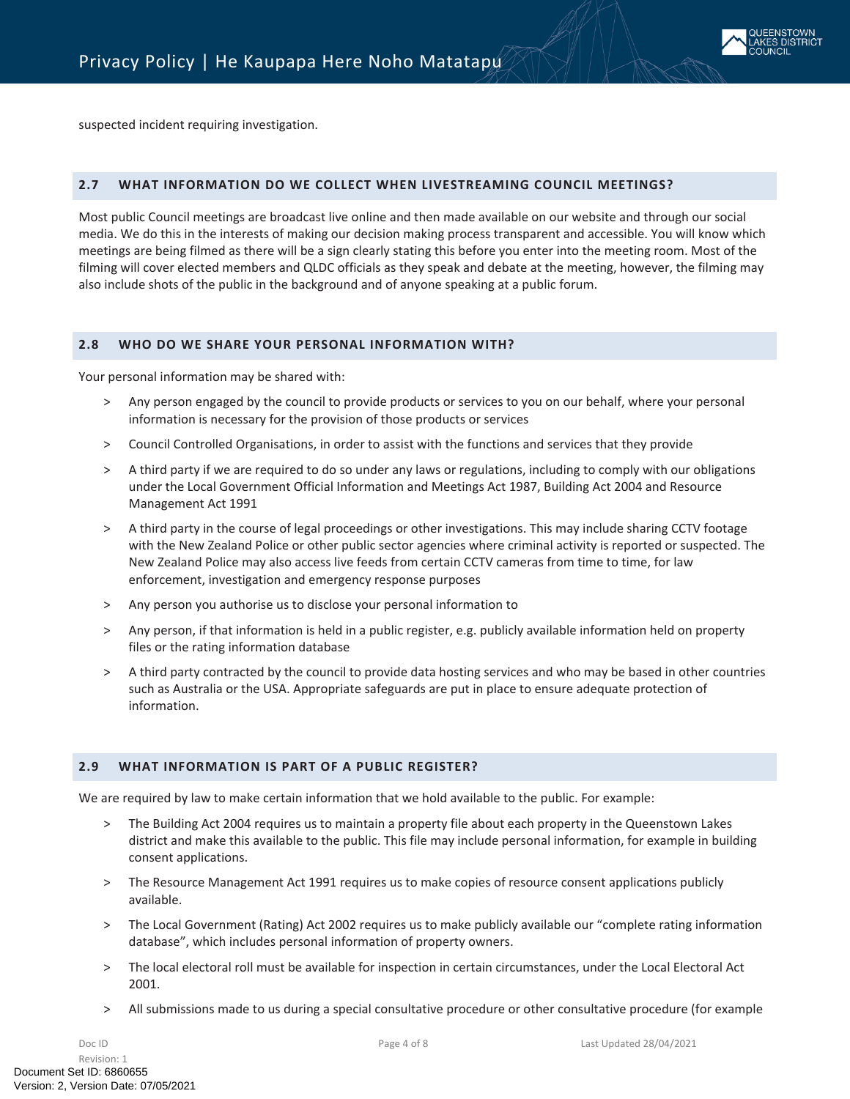

suspected incident requiring investigation.

#### <span id="page-3-0"></span>**2.7 WHAT INFORMATION DO WE COLLECT WHEN LIVESTREAMING COUNCIL MEETINGS?**

Most public Council meetings are broadcast live online and then made available on our website and through our social media. We do this in the interests of making our decision making process transparent and accessible. You will know which meetings are being filmed as there will be a sign clearly stating this before you enter into the meeting room. Most of the filming will cover elected members and QLDC officials as they speak and debate at the meeting, however, the filming may also include shots of the public in the background and of anyone speaking at a public forum.

#### <span id="page-3-1"></span>**2.8 WHO DO WE SHARE YOUR PERSONAL INFORMATION WITH?**

Your personal information may be shared with:

- > Any person engaged by the council to provide products or services to you on our behalf, where your personal information is necessary for the provision of those products or services
- > Council Controlled Organisations, in order to assist with the functions and services that they provide
- > A third party if we are required to do so under any laws or regulations, including to comply with our obligations under the Local Government Official Information and Meetings Act 1987, Building Act 2004 and Resource Management Act 1991
- > A third party in the course of legal proceedings or other investigations. This may include sharing CCTV footage with the New Zealand Police or other public sector agencies where criminal activity is reported or suspected. The New Zealand Police may also access live feeds from certain CCTV cameras from time to time, for law enforcement, investigation and emergency response purposes
- > Any person you authorise us to disclose your personal information to
- > Any person, if that information is held in a public register, e.g. publicly available information held on property files or the rating information database
- > A third party contracted by the council to provide data hosting services and who may be based in other countries such as Australia or the USA. Appropriate safeguards are put in place to ensure adequate protection of information.

#### <span id="page-3-2"></span>**2.9 WHAT INFORMATION IS PART OF A PUBLIC REGISTER?**

We are required by law to make certain information that we hold available to the public. For example:

- > The Building Act 2004 requires us to maintain a property file about each property in the Queenstown Lakes district and make this available to the public. This file may include personal information, for example in building consent applications.
- > The Resource Management Act 1991 requires us to make copies of resource consent applications publicly available.
- > The Local Government (Rating) Act 2002 requires us to make publicly available our "complete rating information database", which includes personal information of property owners.
- > The local electoral roll must be available for inspection in certain circumstances, under the Local Electoral Act 2001.
- > All submissions made to us during a special consultative procedure or other consultative procedure (for example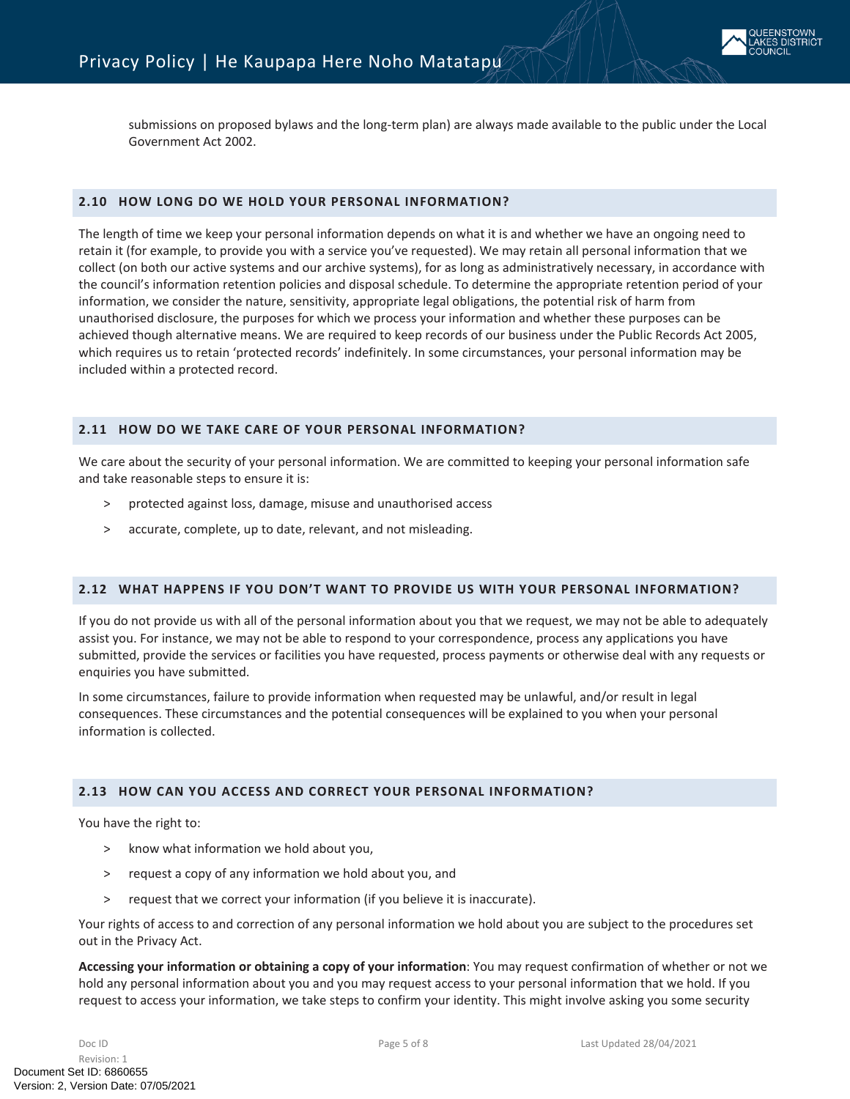

submissions on proposed bylaws and the long-term plan) are always made available to the public under the Local Government Act 2002.

#### <span id="page-4-0"></span>**2.10 HOW LONG DO WE HOLD YOUR PERSONAL INFORMATION?**

The length of time we keep your personal information depends on what it is and whether we have an ongoing need to retain it (for example, to provide you with a service you've requested). We may retain all personal information that we collect (on both our active systems and our archive systems), for as long as administratively necessary, in accordance with the council's information retention policies and disposal schedule. To determine the appropriate retention period of your information, we consider the nature, sensitivity, appropriate legal obligations, the potential risk of harm from unauthorised disclosure, the purposes for which we process your information and whether these purposes can be achieved though alternative means. We are required to keep records of our business under the Public Records Act 2005, which requires us to retain 'protected records' indefinitely. In some circumstances, your personal information may be included within a protected record.

#### <span id="page-4-1"></span>**2.11 HOW DO WE TAKE CARE OF YOUR PERSONAL INFORMATION?**

We care about the security of your personal information. We are committed to keeping your personal information safe and take reasonable steps to ensure it is:

- > protected against loss, damage, misuse and unauthorised access
- > accurate, complete, up to date, relevant, and not misleading.

#### <span id="page-4-2"></span>**2.12 WHAT HAPPENS IF YOU DON'T WANT TO PROVIDE US WITH YOUR PERSONAL INFORMATION?**

If you do not provide us with all of the personal information about you that we request, we may not be able to adequately assist you. For instance, we may not be able to respond to your correspondence, process any applications you have submitted, provide the services or facilities you have requested, process payments or otherwise deal with any requests or enquiries you have submitted.

In some circumstances, failure to provide information when requested may be unlawful, and/or result in legal consequences. These circumstances and the potential consequences will be explained to you when your personal information is collected.

#### <span id="page-4-3"></span>**2.13 HOW CAN YOU ACCESS AND CORRECT YOUR PERSONAL INFORMATION?**

You have the right to:

- > know what information we hold about you,
- > request a copy of any information we hold about you, and
- > request that we correct your information (if you believe it is inaccurate).

Your rights of access to and correction of any personal information we hold about you are subject to the procedures set out in the Privacy Act.

**Accessing your information or obtaining a copy of your information**: You may request confirmation of whether or not we hold any personal information about you and you may request access to your personal information that we hold. If you request to access your information, we take steps to confirm your identity. This might involve asking you some security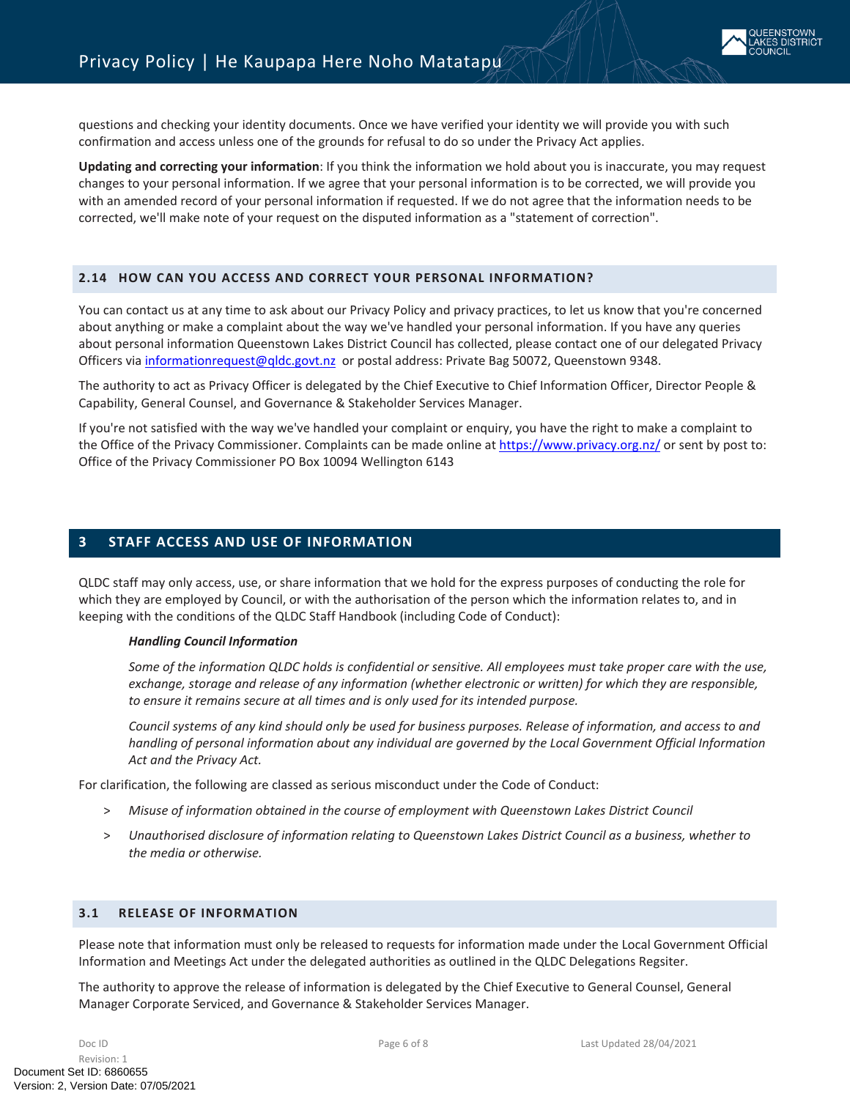

questions and checking your identity documents. Once we have verified your identity we will provide you with such confirmation and access unless one of the grounds for refusal to do so under the Privacy Act applies.

**Updating and correcting your information**: If you think the information we hold about you is inaccurate, you may request changes to your personal information. If we agree that your personal information is to be corrected, we will provide you with an amended record of your personal information if requested. If we do not agree that the information needs to be corrected, we'll make note of your request on the disputed information as a "statement of correction".

#### <span id="page-5-0"></span>**2.14 HOW CAN YOU ACCESS AND CORRECT YOUR PERSONAL INFORMATION?**

You can contact us at any time to ask about our Privacy Policy and privacy practices, to let us know that you're concerned about anything or make a complaint about the way we've handled your personal information. If you have any queries about personal information Queenstown Lakes District Council has collected, please contact one of our delegated Privacy Officers via [informationrequest@qldc.govt.nz](mailto:informationrequest@qldc.govt.nz) or postal address: Private Bag 50072, Queenstown 9348.

The authority to act as Privacy Officer is delegated by the Chief Executive to Chief Information Officer, Director People & Capability, General Counsel, and Governance & Stakeholder Services Manager.

If you're not satisfied with the way we've handled your complaint or enquiry, you have the right to make a complaint to the Office of the Privacy Commissioner. Complaints can be made online at <https://www.privacy.org.nz/>or sent by post to: Office of the Privacy Commissioner PO Box 10094 Wellington 6143

## <span id="page-5-1"></span>**3 STAFF ACCESS AND USE OF INFORMATION**

QLDC staff may only access, use, or share information that we hold for the express purposes of conducting the role for which they are employed by Council, or with the authorisation of the person which the information relates to, and in keeping with the conditions of the QLDC Staff Handbook (including Code of Conduct):

#### *Handling Council Information*

*Some of the information QLDC holds is confidential or sensitive. All employees must take proper care with the use, exchange, storage and release of any information (whether electronic or written) for which they are responsible, to ensure it remains secure at all times and is only used for its intended purpose.*

*Council systems of any kind should only be used for business purposes. Release of information, and access to and handling of personal information about any individual are governed by the Local Government Official Information Act and the Privacy Act.*

For clarification, the following are classed as serious misconduct under the Code of Conduct:

- > *Misuse of information obtained in the course of employment with Queenstown Lakes District Council*
- > *Unauthorised disclosure of information relating to Queenstown Lakes District Council as a business, whether to the media or otherwise.*

## <span id="page-5-2"></span>**3.1 RELEASE OF INFORMATION**

Please note that information must only be released to requests for information made under the Local Government Official Information and Meetings Act under the delegated authorities as outlined in the QLDC Delegations Regsiter.

The authority to approve the release of information is delegated by the Chief Executive to General Counsel, General Manager Corporate Serviced, and Governance & Stakeholder Services Manager.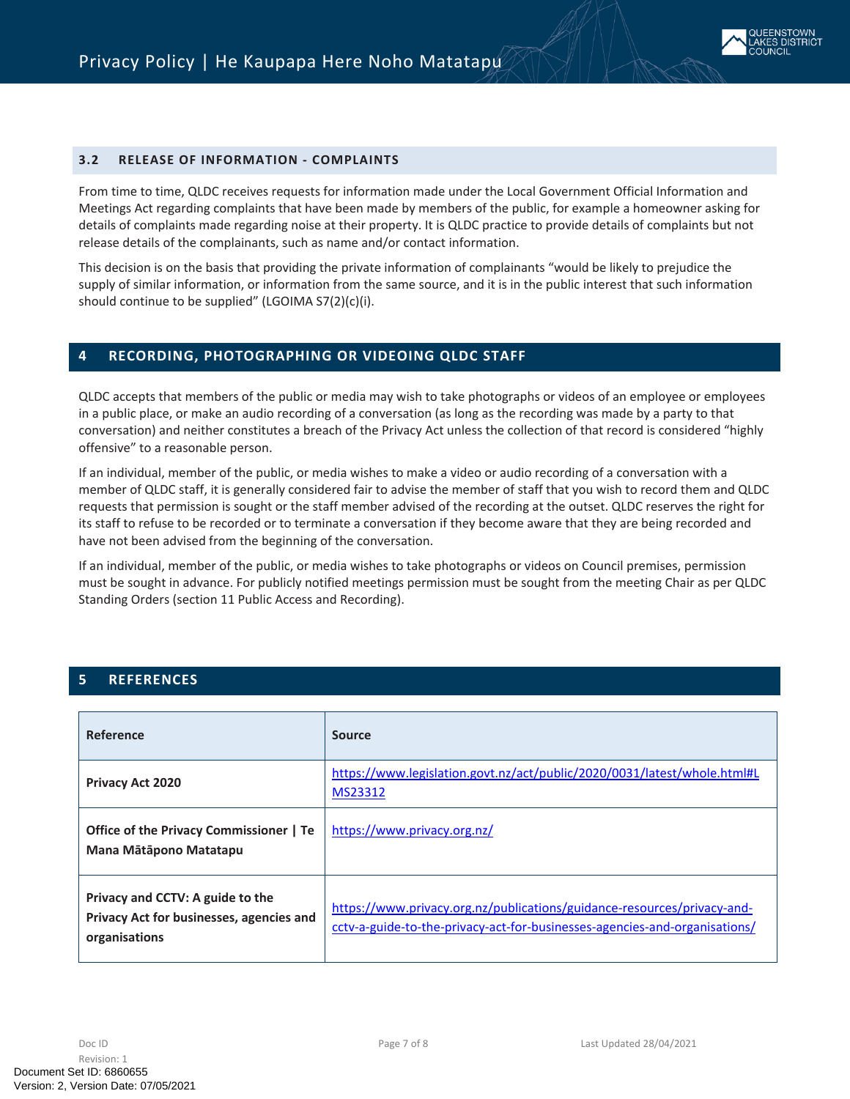

#### **3.2 RELEASE OF INFORMATION - COMPLAINTS**

From time to time, QLDC receives requests for information made under the Local Government Official Information and Meetings Act regarding complaints that have been made by members of the public, for example a homeowner asking for details of complaints made regarding noise at their property. It is QLDC practice to provide details of complaints but not release details of the complainants, such as name and/or contact information.

This decision is on the basis that providing the private information of complainants "would be likely to prejudice the supply of similar information, or information from the same source, and it is in the public interest that such information should continue to be supplied" (LGOIMA S7(2)(c)(i).

#### <span id="page-6-0"></span>**4 RECORDING, PHOTOGRAPHING OR VIDEOING QLDC STAFF**

QLDC accepts that members of the public or media may wish to take photographs or videos of an employee or employees in a public place, or make an audio recording of a conversation (as long as the recording was made by a party to that conversation) and neither constitutes a breach of the Privacy Act unless the collection of that record is considered "highly offensive" to a reasonable person.

If an individual, member of the public, or media wishes to make a video or audio recording of a conversation with a member of QLDC staff, it is generally considered fair to advise the member of staff that you wish to record them and QLDC requests that permission is sought or the staff member advised of the recording at the outset. QLDC reserves the right for its staff to refuse to be recorded or to terminate a conversation if they become aware that they are being recorded and have not been advised from the beginning of the conversation.

If an individual, member of the public, or media wishes to take photographs or videos on Council premises, permission must be sought in advance. For publicly notified meetings permission must be sought from the meeting Chair as per QLDC Standing Orders (section 11 Public Access and Recording).

# <span id="page-6-1"></span>**5 REFERENCES**

| Reference                                                                                            | <b>Source</b>                                                                                                                                         |
|------------------------------------------------------------------------------------------------------|-------------------------------------------------------------------------------------------------------------------------------------------------------|
| <b>Privacy Act 2020</b>                                                                              | https://www.legislation.govt.nz/act/public/2020/0031/latest/whole.html#L<br>MS23312                                                                   |
| Office of the Privacy Commissioner   Te<br>Mana Mātāpono Matatapu                                    | https://www.privacy.org.nz/                                                                                                                           |
| Privacy and CCTV: A guide to the<br><b>Privacy Act for businesses, agencies and</b><br>organisations | https://www.privacy.org.nz/publications/guidance-resources/privacy-and-<br>cctv-a-guide-to-the-privacy-act-for-businesses-agencies-and-organisations/ |